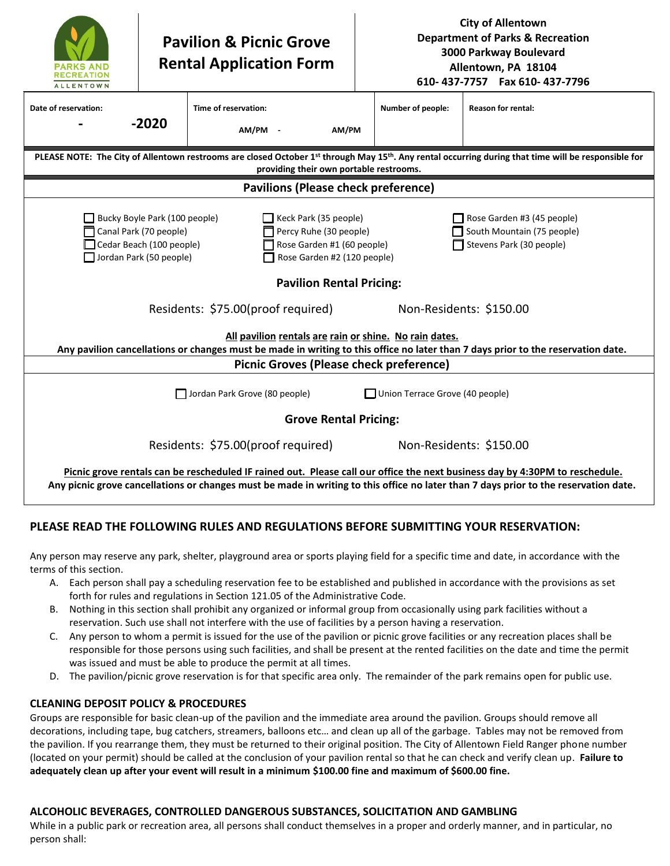| <b>RECREATION</b><br><b>ALLENTOWN</b>                                                                                                                                                                                                                                                                                                                            |         | <b>Pavilion &amp; Picnic Grove</b><br><b>Rental Application Form</b> | <b>City of Allentown</b><br><b>Department of Parks &amp; Recreation</b><br>3000 Parkway Boulevard<br>Allentown, PA 18104<br>610-437-7757  Fax 610-437-7796 |                           |  |  |  |  |
|------------------------------------------------------------------------------------------------------------------------------------------------------------------------------------------------------------------------------------------------------------------------------------------------------------------------------------------------------------------|---------|----------------------------------------------------------------------|------------------------------------------------------------------------------------------------------------------------------------------------------------|---------------------------|--|--|--|--|
| Date of reservation:                                                                                                                                                                                                                                                                                                                                             | $-2020$ | Time of reservation:<br>AM/PM -<br>AM/PM                             | Number of people:                                                                                                                                          | <b>Reason for rental:</b> |  |  |  |  |
| PLEASE NOTE: The City of Allentown restrooms are closed October 1st through May 15th. Any rental occurring during that time will be responsible for<br>providing their own portable restrooms.                                                                                                                                                                   |         |                                                                      |                                                                                                                                                            |                           |  |  |  |  |
| Pavilions (Please check preference)                                                                                                                                                                                                                                                                                                                              |         |                                                                      |                                                                                                                                                            |                           |  |  |  |  |
| Bucky Boyle Park (100 people)<br>$\Box$ Keck Park (35 people)<br>Rose Garden #3 (45 people)<br>Canal Park (70 people)<br>Percy Ruhe (30 people)<br>South Mountain (75 people)<br>Cedar Beach (100 people)<br>Rose Garden #1 (60 people)<br>Stevens Park (30 people)<br>Rose Garden #2 (120 people)<br>Jordan Park (50 people)<br><b>Pavilion Rental Pricing:</b> |         |                                                                      |                                                                                                                                                            |                           |  |  |  |  |
| Residents: \$75.00(proof required)<br>Non-Residents: \$150.00<br>All pavilion rentals are rain or shine. No rain dates.<br>Any pavilion cancellations or changes must be made in writing to this office no later than 7 days prior to the reservation date.                                                                                                      |         |                                                                      |                                                                                                                                                            |                           |  |  |  |  |
| <b>Picnic Groves (Please check preference)</b>                                                                                                                                                                                                                                                                                                                   |         |                                                                      |                                                                                                                                                            |                           |  |  |  |  |
| Jordan Park Grove (80 people)<br>Union Terrace Grove (40 people)                                                                                                                                                                                                                                                                                                 |         |                                                                      |                                                                                                                                                            |                           |  |  |  |  |
| <b>Grove Rental Pricing:</b>                                                                                                                                                                                                                                                                                                                                     |         |                                                                      |                                                                                                                                                            |                           |  |  |  |  |
| Residents: \$75.00(proof required)<br>Non-Residents: \$150.00                                                                                                                                                                                                                                                                                                    |         |                                                                      |                                                                                                                                                            |                           |  |  |  |  |
| Picnic grove rentals can be rescheduled IF rained out. Please call our office the next business day by 4:30PM to reschedule.                                                                                                                                                                                                                                     |         |                                                                      |                                                                                                                                                            |                           |  |  |  |  |
| Any picnic grove cancellations or changes must be made in writing to this office no later than 7 days prior to the reservation date.                                                                                                                                                                                                                             |         |                                                                      |                                                                                                                                                            |                           |  |  |  |  |

# **PLEASE READ THE FOLLOWING RULES AND REGULATIONS BEFORE SUBMITTING YOUR RESERVATION:**

Any person may reserve any park, shelter, playground area or sports playing field for a specific time and date, in accordance with the terms of this section.

- A. Each person shall pay a scheduling reservation fee to be established and published in accordance with the provisions as set forth for rules and regulations in Section 121.05 of the Administrative Code.
- B. Nothing in this section shall prohibit any organized or informal group from occasionally using park facilities without a reservation. Such use shall not interfere with the use of facilities by a person having a reservation.
- C. Any person to whom a permit is issued for the use of the pavilion or picnic grove facilities or any recreation places shall be responsible for those persons using such facilities, and shall be present at the rented facilities on the date and time the permit was issued and must be able to produce the permit at all times.
- D. The pavilion/picnic grove reservation is for that specific area only. The remainder of the park remains open for public use.

### **CLEANING DEPOSIT POLICY & PROCEDURES**

Groups are responsible for basic clean-up of the pavilion and the immediate area around the pavilion. Groups should remove all decorations, including tape, bug catchers, streamers, balloons etc… and clean up all of the garbage. Tables may not be removed from the pavilion. If you rearrange them, they must be returned to their original position. The City of Allentown Field Ranger phone number (located on your permit) should be called at the conclusion of your pavilion rental so that he can check and verify clean up. **Failure to adequately clean up after your event will result in a minimum \$100.00 fine and maximum of \$600.00 fine.** 

# **ALCOHOLIC BEVERAGES, CONTROLLED DANGEROUS SUBSTANCES, SOLICITATION AND GAMBLING**

While in a public park or recreation area, all persons shall conduct themselves in a proper and orderly manner, and in particular, no person shall: